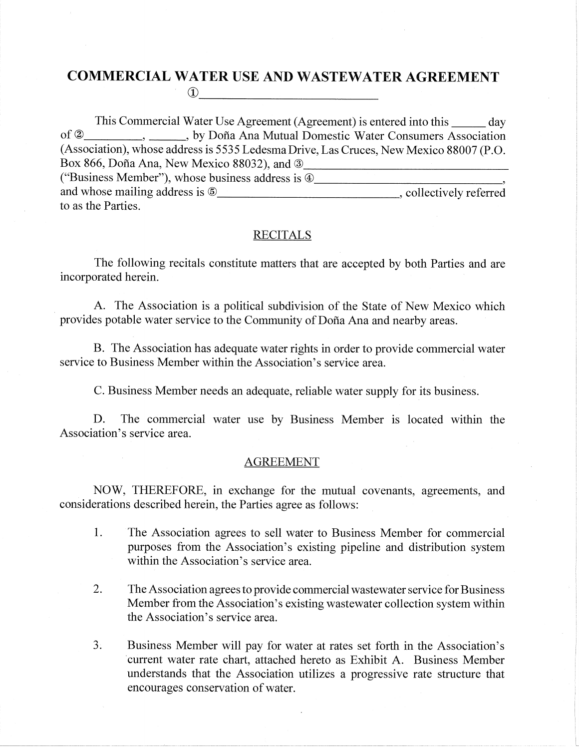## **COMMERCIAL WATER USE AND WASTEWATER AGREEMENT**

 $\mathbf{D}$ 

This Commercial Water Use Agreement (Agreement) is entered into this day  $\mathrm{of}\, 2$ \_, \_\_\_\_\_\_, by Doña Ana Mutual Domestic Water Consumers Association (Association), whose address is 5535 Ledesma Drive, Las Cruces, New Mexico 88007 (P.O. Box 866, Doña Ana, New Mexico 88032), and 3 ("Business Member"), whose business address is 4 to as the Parties.

## **RECITALS**

The following recitals constitute matters that are accepted by both Parties and are incorporated herein.

A. The Association is a political subdivision of the State of New Mexico which provides potable water service to the Community of Doña Ana and nearby areas.

B. The Association has adequate water rights in order to provide commercial water service to Business Member within the Association's service area.

C. Business Member needs an adequate, reliable water supply for its business.

D. The commercial water use by Business Member is located within the Association's service area.

## **AGREEMENT**

NOW, THEREFORE, in exchange for the mutual covenants, agreements, and considerations described herein, the Parties agree as follows:

- $1.$ The Association agrees to sell water to Business Member for commercial purposes from the Association's existing pipeline and distribution system within the Association's service area.
- 2. The Association agrees to provide commercial wastewater service for Business Member from the Association's existing wastewater collection system within the Association's service area.
- $3<sub>i</sub>$ Business Member will pay for water at rates set forth in the Association's current water rate chart, attached hereto as Exhibit A. Business Member understands that the Association utilizes a progressive rate structure that encourages conservation of water.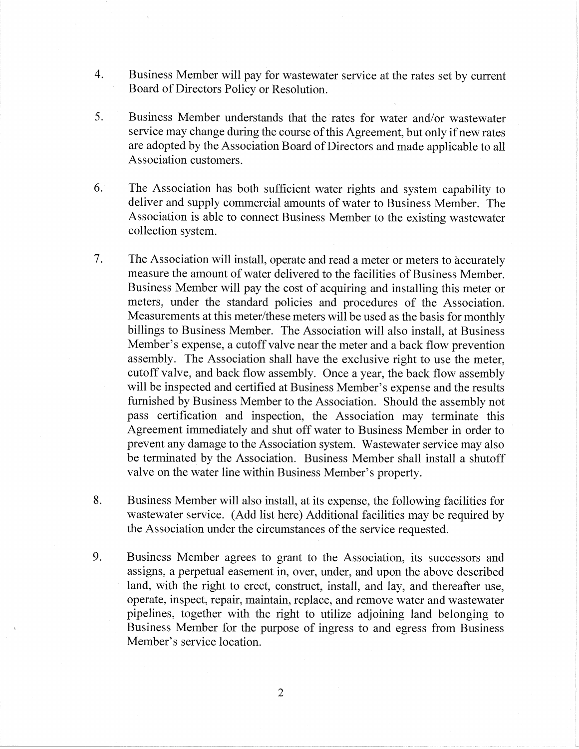- $\overline{4}$ . Business Member will pay for wastewater service at the rates set by current Board of Directors Policy or Resolution.
- 5. Business Member understands that the rates for water and/or wastewater service may change during the course of this Agreement, but only if new rates are adopted by the Association Board of Directors and made applicable to all Association customers.
- 6. The Association has both sufficient water rights and system capability to deliver and supply commercial amounts of water to Business Member. The Association is able to connect Business Member to the existing wastewater collection system.
- $7.$ The Association will install, operate and read a meter or meters to accurately measure the amount of water delivered to the facilities of Business Member. Business Member will pay the cost of acquiring and installing this meter or meters, under the standard policies and procedures of the Association. Measurements at this meter/these meters will be used as the basis for monthly billings to Business Member. The Association will also install, at Business Member's expense, a cutoff valve near the meter and a back flow prevention assembly. The Association shall have the exclusive right to use the meter, cutoff valve, and back flow assembly. Once a year, the back flow assembly will be inspected and certified at Business Member's expense and the results furnished by Business Member to the Association. Should the assembly not pass certification and inspection, the Association may terminate this Agreement immediately and shut off water to Business Member in order to prevent any damage to the Association system. Wastewater service may also be terminated by the Association. Business Member shall install a shutoff valve on the water line within Business Member's property.
- 8. Business Member will also install, at its expense, the following facilities for wastewater service. (Add list here) Additional facilities may be required by the Association under the circumstances of the service requested.
- 9. Business Member agrees to grant to the Association, its successors and assigns, a perpetual easement in, over, under, and upon the above described land, with the right to erect, construct, install, and lay, and thereafter use, operate, inspect, repair, maintain, replace, and remove water and wastewater pipelines, together with the right to utilize adjoining land belonging to Business Member for the purpose of ingress to and egress from Business Member's service location.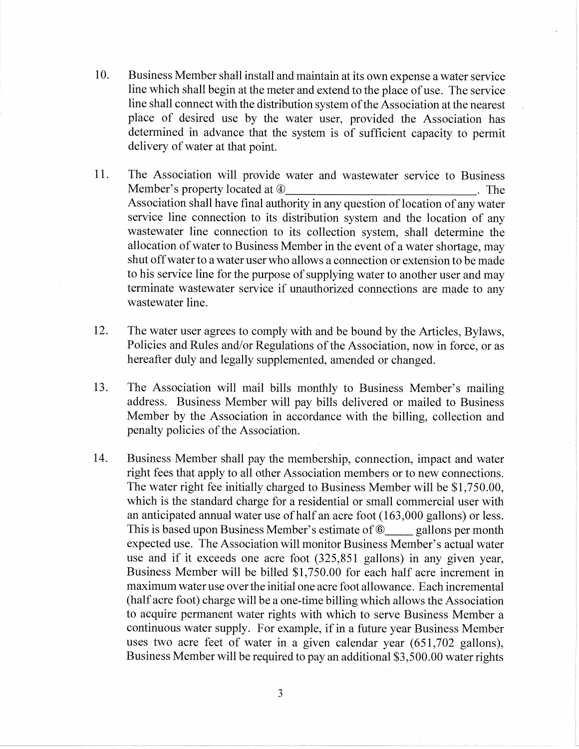- 10. Business Member shall install and maintain at its own expense a water service line which shall begin at the meter and extend to the place of use. The service line shall connect with the distribution system of the Association at the nearest place of desired use by the water user, provided the Association has determined in advance that the system is of sufficient capacity to permit delivery of water at that point.
- 11. The Association will provide water and wastewater service to Business Member's property located at  $\Phi$  $\blacksquare$  The Association shall have final authority in any question of location of any water service line connection to its distribution system and the location of any wastewater line connection to its collection system, shall determine the allocation of water to Business Member in the event of a water shortage, may shut off water to a water user who allows a connection or extension to be made to his service line for the purpose of supplying water to another user and may terminate wastewater service if unauthorized connections are made to any wastewater line.
- 12. The water user agrees to comply with and be bound by the Articles, Bylaws, Policies and Rules and/or Regulations of the Association, now in force, or as hereafter duly and legally supplemented, amended or changed.
- $13.$ The Association will mail bills monthly to Business Member's mailing address. Business Member will pay bills delivered or mailed to Business Member by the Association in accordance with the billing, collection and penalty policies of the Association.
- 14. Business Member shall pay the membership, connection, impact and water right fees that apply to all other Association members or to new connections. The water right fee initially charged to Business Member will be \$1,750.00, which is the standard charge for a residential or small commercial user with an anticipated annual water use of half an acre foot (163,000 gallons) or less. This is based upon Business Member's estimate of <sup>6</sup> gallons per month expected use. The Association will monitor Business Member's actual water use and if it exceeds one acre foot (325,851 gallons) in any given year, Business Member will be billed \$1,750.00 for each half acre increment in maximum water use over the initial one acre foot allowance. Each incremental (half acre foot) charge will be a one-time billing which allows the Association to acquire permanent water rights with which to serve Business Member a continuous water supply. For example, if in a future year Business Member uses two acre feet of water in a given calendar year (651,702 gallons), Business Member will be required to pay an additional \$3,500.00 water rights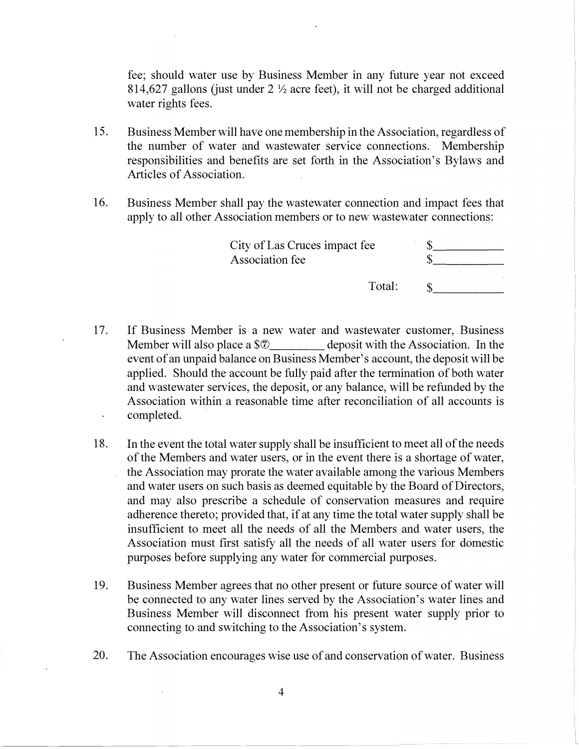fee; should water use by Business Member in any future year not exceed 814,627 gallons (just under  $2\frac{1}{2}$  acre feet), it will not be charged additional water rights fees.

- 15. Business Member will have one membership in the Association, regardless of the number of water and wastewater service connections. Membership responsibilities and benefits are set forth in the Association's Bylaws and Articles of Association.
- 16. Business Member shall pay the wastewater connection and impact fees that apply to all other Association members or to new wastewater connections:

| City of Las Cruces impact fee |  |
|-------------------------------|--|
| Association fee               |  |

- Total:  $\mathbb{S}$   $\equiv$
- 17. If Business Member is a new water and wastewater customer, Business Member will also place a \$0 deposit with the Association. In the event of an unpaid balance on Business Member's account, the deposit will be applied. Should the account be fully paid after the termination of both water and wastewater services, the deposit, or any balance, will be refunded by the Association within a reasonable time after reconciliation of all accounts is completed.  $\mathbf{v}$
- 18. In the event the total water supply shall be insufficient to meet all of the needs of the Members and water users, or in the event there is a shortage of water, the Association may prorate the water available among the various Members and water users on such basis as deemed equitable by the Board of Directors, and may also prescribe a schedule of conservation measures and require adherence thereto; provided that, if at any time the total water supply shall be insufficient to meet all the needs of all the Members and water users, the Association must first satisfy all the needs of all water users for domestic purposes before supplying any water for commercial purposes.
- 19. Business Member agrees that no other present or future source of water will be connected to any water lines served by the Association's water lines and Business Member will disconnect from his present water supply prior to connecting to and switching to the Association's system.
- 20. The Association encourages wise use of and conservation of water. Business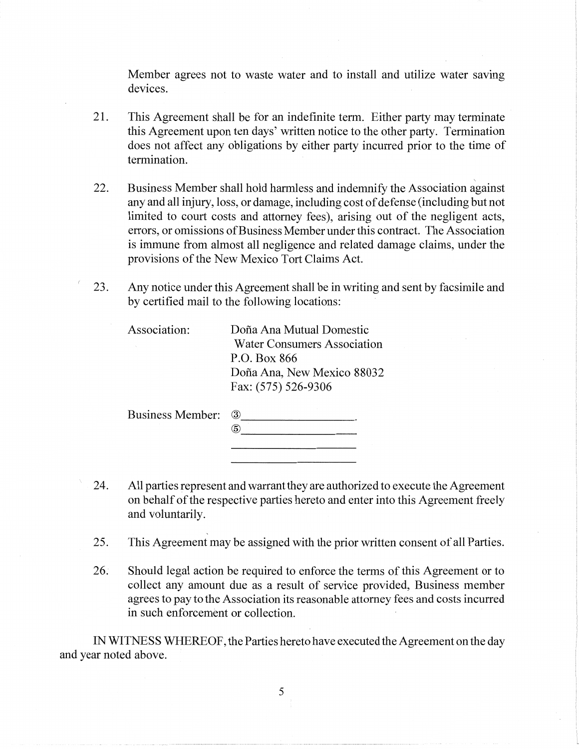Member agrees not to waste water and to install and utilize water saving devices.

- 21. This Agreement shall be for an indefinite term. Either party may terminate this Agreement upon ten days' written notice to the other party. Termination does not affect any obligations by either party incurred prior to the time of termination.
- 22. Business Member shall hold harmless and indemnify the Association against any and all injury, loss, or damage, including cost of defense (including but not limited to court costs and attorney fees), arising out of the negligent acts, errors, or omissions of Business Member under this contract. The Association is immune from almost all negligence and related damage claims, under the provisions of the New Mexico Tort Claims Act.
- 23. Any notice under this Agreement shall be in writing and sent by facsimile and by certified mail to the following locations:

| Association: | Doña Ana Mutual Domestic           |
|--------------|------------------------------------|
|              | <b>Water Consumers Association</b> |
|              | P.O. Box 866                       |
|              | Doña Ana, New Mexico 88032         |
|              | Fax: (575) 526-9306                |
|              |                                    |

Business Member: 3

| 24. | All parties represent and warrant they are authorized to execute the Agreement  |
|-----|---------------------------------------------------------------------------------|
|     | on behalf of the respective parties hereto and enter into this Agreement freely |
|     | and voluntarily.                                                                |

 $\ddot{5}$ 

- 25. This Agreement may be assigned with the prior written consent of all Parties.
- $26.$ Should legal action be required to enforce the terms of this Agreement or to collect any amount due as a result of service provided, Business member agrees to pay to the Association its reasonable attorney fees and costs incurred in such enforcement or collection.

IN WITNESS WHEREOF, the Parties hereto have executed the Agreement on the day and year noted above.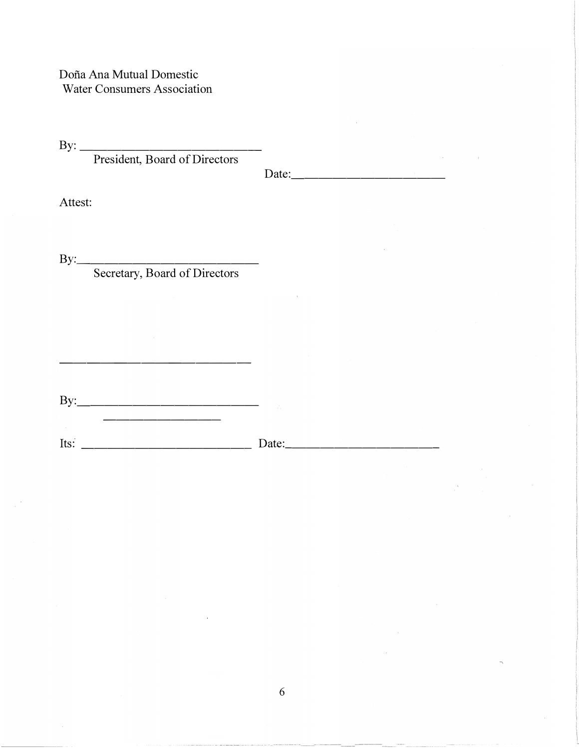Doña Ana Mutual Domestic **Water Consumers Association** 

By: President, Board of Directors

Date:  $\qquad \qquad$ 

Attest:

 $By:$ 

Secretary, Board of Directors

6